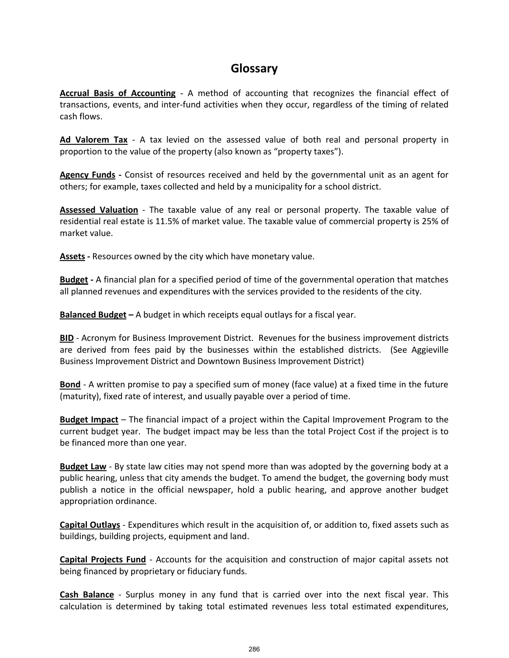## **Glossary**

**Accrual Basis of Accounting** - A method of accounting that recognizes the financial effect of transactions, events, and inter-fund activities when they occur, regardless of the timing of related cash flows.

**Ad Valorem Tax** - A tax levied on the assessed value of both real and personal property in proportion to the value of the property (also known as "property taxes").

**Agency Funds -** Consist of resources received and held by the governmental unit as an agent for others; for example, taxes collected and held by a municipality for a school district.

**Assessed Valuation** - The taxable value of any real or personal property. The taxable value of residential real estate is 11.5% of market value. The taxable value of commercial property is 25% of market value.

**Assets -** Resources owned by the city which have monetary value.

**Budget -** A financial plan for a specified period of time of the governmental operation that matches all planned revenues and expenditures with the services provided to the residents of the city.

**Balanced Budget –** A budget in which receipts equal outlays for a fiscal year.

**BID** - Acronym for Business Improvement District. Revenues for the business improvement districts are derived from fees paid by the businesses within the established districts. (See Aggieville Business Improvement District and Downtown Business Improvement District)

**Bond** - A written promise to pay a specified sum of money (face value) at a fixed time in the future (maturity), fixed rate of interest, and usually payable over a period of time.

**Budget Impact** – The financial impact of a project within the Capital Improvement Program to the current budget year. The budget impact may be less than the total Project Cost if the project is to be financed more than one year.

**Budget Law** - By state law cities may not spend more than was adopted by the governing body at a public hearing, unless that city amends the budget. To amend the budget, the governing body must publish a notice in the official newspaper, hold a public hearing, and approve another budget appropriation ordinance.

**Capital Outlays** - Expenditures which result in the acquisition of, or addition to, fixed assets such as buildings, building projects, equipment and land.

**Capital Projects Fund** - Accounts for the acquisition and construction of major capital assets not being financed by proprietary or fiduciary funds.

**Cash Balance** - Surplus money in any fund that is carried over into the next fiscal year. This calculation is determined by taking total estimated revenues less total estimated expenditures,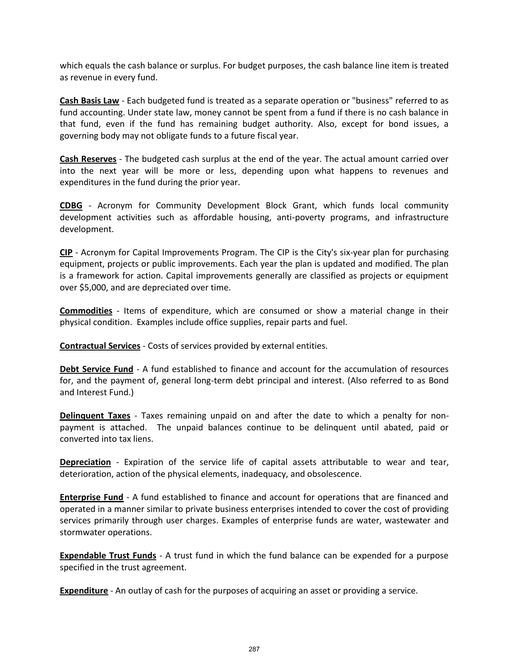which equals the cash balance or surplus. For budget purposes, the cash balance line item is treated as revenue in every fund.

**Cash Basis Law** - Each budgeted fund is treated as a separate operation or "business" referred to as fund accounting. Under state law, money cannot be spent from a fund if there is no cash balance in that fund, even if the fund has remaining budget authority. Also, except for bond issues, a governing body may not obligate funds to a future fiscal year.

**Cash Reserves** - The budgeted cash surplus at the end of the year. The actual amount carried over into the next year will be more or less, depending upon what happens to revenues and expenditures in the fund during the prior year.

**CDBG** - Acronym for Community Development Block Grant, which funds local community development activities such as affordable housing, anti-poverty programs, and infrastructure development.

**CIP** - Acronym for Capital Improvements Program. The CIP is the City's six-year plan for purchasing equipment, projects or public improvements. Each year the plan is updated and modified. The plan is a framework for action. Capital improvements generally are classified as projects or equipment over \$5,000, and are depreciated over time.

**Commodities** - Items of expenditure, which are consumed or show a material change in their physical condition. Examples include office supplies, repair parts and fuel.

**Contractual Services** - Costs of services provided by external entities.

**Debt Service Fund** - A fund established to finance and account for the accumulation of resources for, and the payment of, general long-term debt principal and interest. (Also referred to as Bond and Interest Fund.)

**Delinquent Taxes** - Taxes remaining unpaid on and after the date to which a penalty for nonpayment is attached. The unpaid balances continue to be delinquent until abated, paid or converted into tax liens.

**Depreciation** - Expiration of the service life of capital assets attributable to wear and tear, deterioration, action of the physical elements, inadequacy, and obsolescence.

**Enterprise Fund** - A fund established to finance and account for operations that are financed and operated in a manner similar to private business enterprises intended to cover the cost of providing services primarily through user charges. Examples of enterprise funds are water, wastewater and stormwater operations.

**Expendable Trust Funds** - A trust fund in which the fund balance can be expended for a purpose specified in the trust agreement.

**Expenditure** - An outlay of cash for the purposes of acquiring an asset or providing a service.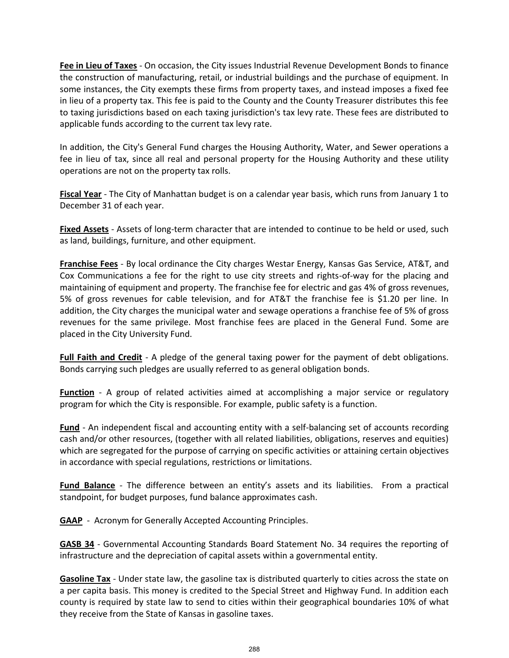**Fee in Lieu of Taxes** - On occasion, the City issues Industrial Revenue Development Bonds to finance the construction of manufacturing, retail, or industrial buildings and the purchase of equipment. In some instances, the City exempts these firms from property taxes, and instead imposes a fixed fee in lieu of a property tax. This fee is paid to the County and the County Treasurer distributes this fee to taxing jurisdictions based on each taxing jurisdiction's tax levy rate. These fees are distributed to applicable funds according to the current tax levy rate.

In addition, the City's General Fund charges the Housing Authority, Water, and Sewer operations a fee in lieu of tax, since all real and personal property for the Housing Authority and these utility operations are not on the property tax rolls.

**Fiscal Year** - The City of Manhattan budget is on a calendar year basis, which runs from January 1 to December 31 of each year.

**Fixed Assets** - Assets of long-term character that are intended to continue to be held or used, such as land, buildings, furniture, and other equipment.

**Franchise Fees** - By local ordinance the City charges Westar Energy, Kansas Gas Service, AT&T, and Cox Communications a fee for the right to use city streets and rights-of-way for the placing and maintaining of equipment and property. The franchise fee for electric and gas 4% of gross revenues, 5% of gross revenues for cable television, and for AT&T the franchise fee is \$1.20 per line. In addition, the City charges the municipal water and sewage operations a franchise fee of 5% of gross revenues for the same privilege. Most franchise fees are placed in the General Fund. Some are placed in the City University Fund.

**Full Faith and Credit** - A pledge of the general taxing power for the payment of debt obligations. Bonds carrying such pledges are usually referred to as general obligation bonds.

**Function** - A group of related activities aimed at accomplishing a major service or regulatory program for which the City is responsible. For example, public safety is a function.

**Fund** - An independent fiscal and accounting entity with a self-balancing set of accounts recording cash and/or other resources, (together with all related liabilities, obligations, reserves and equities) which are segregated for the purpose of carrying on specific activities or attaining certain objectives in accordance with special regulations, restrictions or limitations.

**Fund Balance** - The difference between an entity's assets and its liabilities. From a practical standpoint, for budget purposes, fund balance approximates cash.

**GAAP** - Acronym for Generally Accepted Accounting Principles.

**GASB 34** - Governmental Accounting Standards Board Statement No. 34 requires the reporting of infrastructure and the depreciation of capital assets within a governmental entity.

**Gasoline Tax** - Under state law, the gasoline tax is distributed quarterly to cities across the state on a per capita basis. This money is credited to the Special Street and Highway Fund. In addition each county is required by state law to send to cities within their geographical boundaries 10% of what they receive from the State of Kansas in gasoline taxes.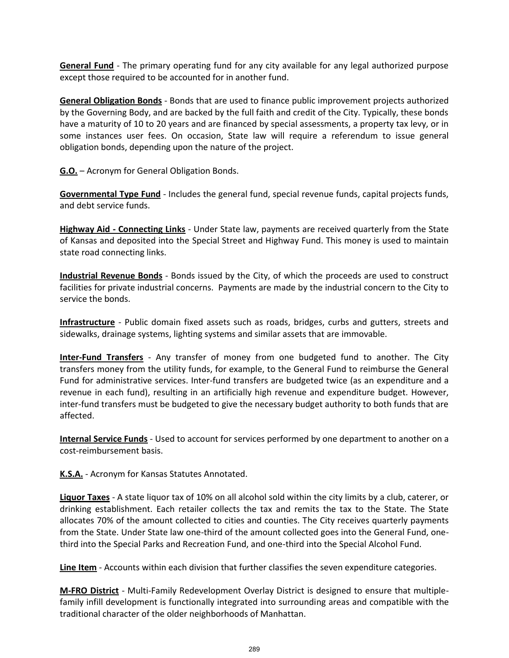**General Fund** - The primary operating fund for any city available for any legal authorized purpose except those required to be accounted for in another fund.

**General Obligation Bonds** - Bonds that are used to finance public improvement projects authorized by the Governing Body, and are backed by the full faith and credit of the City. Typically, these bonds have a maturity of 10 to 20 years and are financed by special assessments, a property tax levy, or in some instances user fees. On occasion, State law will require a referendum to issue general obligation bonds, depending upon the nature of the project.

**G.O.** – Acronym for General Obligation Bonds.

**Governmental Type Fund** - Includes the general fund, special revenue funds, capital projects funds, and debt service funds.

**Highway Aid - Connecting Links** - Under State law, payments are received quarterly from the State of Kansas and deposited into the Special Street and Highway Fund. This money is used to maintain state road connecting links.

**Industrial Revenue Bonds** - Bonds issued by the City, of which the proceeds are used to construct facilities for private industrial concerns. Payments are made by the industrial concern to the City to service the bonds.

**Infrastructure** - Public domain fixed assets such as roads, bridges, curbs and gutters, streets and sidewalks, drainage systems, lighting systems and similar assets that are immovable.

**Inter-Fund Transfers** - Any transfer of money from one budgeted fund to another. The City transfers money from the utility funds, for example, to the General Fund to reimburse the General Fund for administrative services. Inter-fund transfers are budgeted twice (as an expenditure and a revenue in each fund), resulting in an artificially high revenue and expenditure budget. However, inter-fund transfers must be budgeted to give the necessary budget authority to both funds that are affected.

**Internal Service Funds** - Used to account for services performed by one department to another on a cost-reimbursement basis.

**K.S.A.** - Acronym for Kansas Statutes Annotated.

**Liquor Taxes** - A state liquor tax of 10% on all alcohol sold within the city limits by a club, caterer, or drinking establishment. Each retailer collects the tax and remits the tax to the State. The State allocates 70% of the amount collected to cities and counties. The City receives quarterly payments from the State. Under State law one-third of the amount collected goes into the General Fund, onethird into the Special Parks and Recreation Fund, and one-third into the Special Alcohol Fund.

**Line Item** - Accounts within each division that further classifies the seven expenditure categories.

**M-FRO District** - Multi-Family Redevelopment Overlay District is designed to ensure that multiplefamily infill development is functionally integrated into surrounding areas and compatible with the traditional character of the older neighborhoods of Manhattan.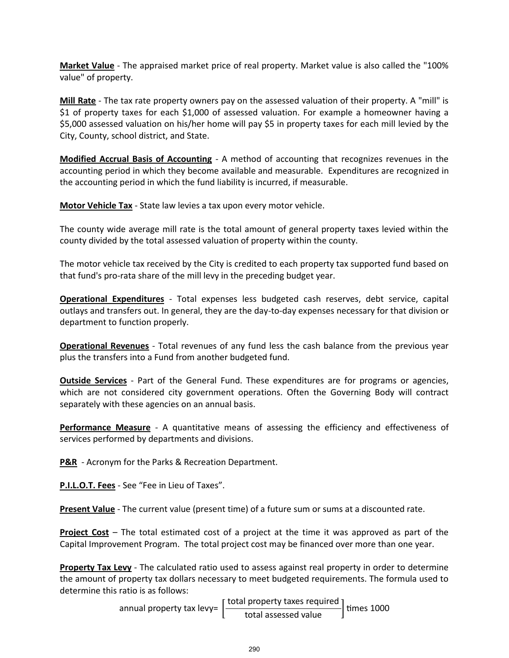**Market Value** - The appraised market price of real property. Market value is also called the "100% value" of property.

**Mill Rate** - The tax rate property owners pay on the assessed valuation of their property. A "mill" is \$1 of property taxes for each \$1,000 of assessed valuation. For example a homeowner having a \$5,000 assessed valuation on his/her home will pay \$5 in property taxes for each mill levied by the City, County, school district, and State.

**Modified Accrual Basis of Accounting** - A method of accounting that recognizes revenues in the accounting period in which they become available and measurable. Expenditures are recognized in the accounting period in which the fund liability is incurred, if measurable.

**Motor Vehicle Tax** - State law levies a tax upon every motor vehicle.

The county wide average mill rate is the total amount of general property taxes levied within the county divided by the total assessed valuation of property within the county.

The motor vehicle tax received by the City is credited to each property tax supported fund based on that fund's pro-rata share of the mill levy in the preceding budget year.

**Operational Expenditures** - Total expenses less budgeted cash reserves, debt service, capital outlays and transfers out. In general, they are the day-to-day expenses necessary for that division or department to function properly.

**Operational Revenues** - Total revenues of any fund less the cash balance from the previous year plus the transfers into a Fund from another budgeted fund.

**Outside Services** - Part of the General Fund. These expenditures are for programs or agencies, which are not considered city government operations. Often the Governing Body will contract separately with these agencies on an annual basis.

**Performance Measure** - A quantitative means of assessing the efficiency and effectiveness of services performed by departments and divisions.

**P&R** - Acronym for the Parks & Recreation Department.

**P.I.L.O.T. Fees** - See "Fee in Lieu of Taxes".

**Present Value** - The current value (present time) of a future sum or sums at a discounted rate.

**Project Cost** – The total estimated cost of a project at the time it was approved as part of the Capital Improvement Program. The total project cost may be financed over more than one year.

**Property Tax Levy** - The calculated ratio used to assess against real property in order to determine the amount of property tax dollars necessary to meet budgeted requirements. The formula used to determine this ratio is as follows:

> annual property tax levy= total property taxes required  $\frac{1}{100}$  times total assessed value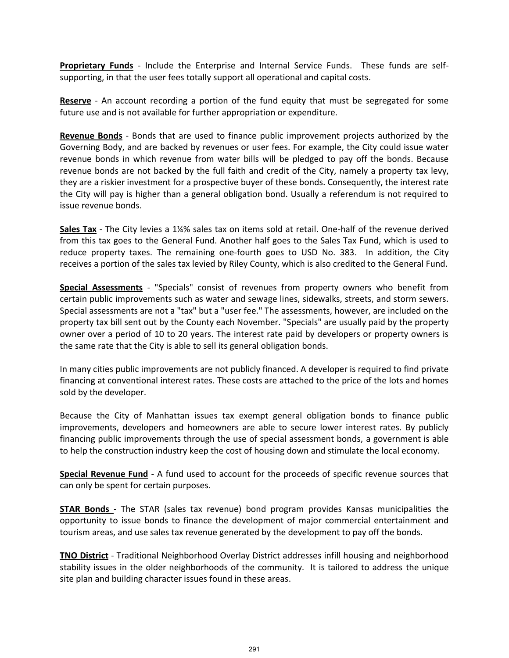**Proprietary Funds** - Include the Enterprise and Internal Service Funds. These funds are selfsupporting, in that the user fees totally support all operational and capital costs.

**Reserve** - An account recording a portion of the fund equity that must be segregated for some future use and is not available for further appropriation or expenditure.

**Revenue Bonds** - Bonds that are used to finance public improvement projects authorized by the Governing Body, and are backed by revenues or user fees. For example, the City could issue water revenue bonds in which revenue from water bills will be pledged to pay off the bonds. Because revenue bonds are not backed by the full faith and credit of the City, namely a property tax levy, they are a riskier investment for a prospective buyer of these bonds. Consequently, the interest rate the City will pay is higher than a general obligation bond. Usually a referendum is not required to issue revenue bonds.

**Sales Tax** - The City levies a 1¼% sales tax on items sold at retail. One-half of the revenue derived from this tax goes to the General Fund. Another half goes to the Sales Tax Fund, which is used to reduce property taxes. The remaining one-fourth goes to USD No. 383. In addition, the City receives a portion of the sales tax levied by Riley County, which is also credited to the General Fund.

**Special Assessments** - "Specials" consist of revenues from property owners who benefit from certain public improvements such as water and sewage lines, sidewalks, streets, and storm sewers. Special assessments are not a "tax" but a "user fee." The assessments, however, are included on the property tax bill sent out by the County each November. "Specials" are usually paid by the property owner over a period of 10 to 20 years. The interest rate paid by developers or property owners is the same rate that the City is able to sell its general obligation bonds.

In many cities public improvements are not publicly financed. A developer is required to find private financing at conventional interest rates. These costs are attached to the price of the lots and homes sold by the developer.

Because the City of Manhattan issues tax exempt general obligation bonds to finance public improvements, developers and homeowners are able to secure lower interest rates. By publicly financing public improvements through the use of special assessment bonds, a government is able to help the construction industry keep the cost of housing down and stimulate the local economy.

**Special Revenue Fund** - A fund used to account for the proceeds of specific revenue sources that can only be spent for certain purposes.

**STAR Bonds** - The STAR (sales tax revenue) bond program provides Kansas municipalities the opportunity to issue bonds to finance the development of major commercial entertainment and tourism areas, and use sales tax revenue generated by the development to pay off the bonds.

**TNO District** - Traditional Neighborhood Overlay District addresses infill housing and neighborhood stability issues in the older neighborhoods of the community. It is tailored to address the unique site plan and building character issues found in these areas.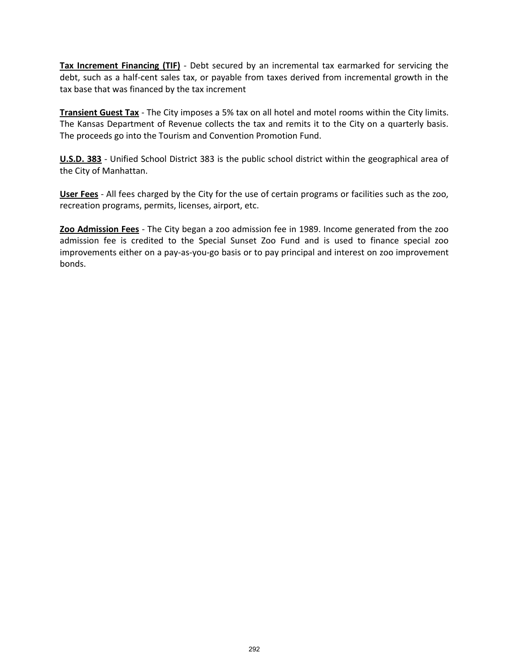**Tax Increment Financing (TIF)** - Debt secured by an incremental tax earmarked for servicing the debt, such as a half-cent sales tax, or payable from taxes derived from incremental growth in the tax base that was financed by the tax increment

**Transient Guest Tax** - The City imposes a 5% tax on all hotel and motel rooms within the City limits. The Kansas Department of Revenue collects the tax and remits it to the City on a quarterly basis. The proceeds go into the Tourism and Convention Promotion Fund.

**U.S.D. 383** - Unified School District 383 is the public school district within the geographical area of the City of Manhattan.

**User Fees** - All fees charged by the City for the use of certain programs or facilities such as the zoo, recreation programs, permits, licenses, airport, etc.

**Zoo Admission Fees** - The City began a zoo admission fee in 1989. Income generated from the zoo admission fee is credited to the Special Sunset Zoo Fund and is used to finance special zoo improvements either on a pay-as-you-go basis or to pay principal and interest on zoo improvement bonds.